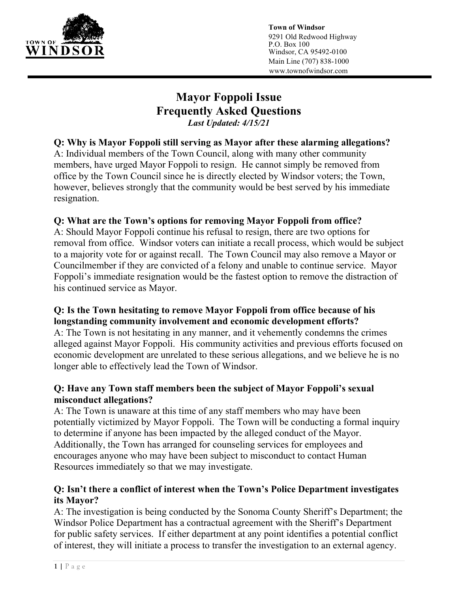

**Town of Windsor**  9291 Old Redwood Highway P.O. Box 100 Windsor, CA 95492-0100 Main Line (707) 838-1000 www.townofwindsor.com

# **Mayor Foppoli Issue Frequently Asked Questions**  *Last Updated: 4/15/21*

**Q: Why is Mayor Foppoli still serving as Mayor after these alarming allegations?**  A: Individual members of the Town Council, along with many other community members, have urged Mayor Foppoli to resign. He cannot simply be removed from office by the Town Council since he is directly elected by Windsor voters; the Town, however, believes strongly that the community would be best served by his immediate resignation.

## **Q: What are the Town's options for removing Mayor Foppoli from office?**

A: Should Mayor Foppoli continue his refusal to resign, there are two options for removal from office. Windsor voters can initiate a recall process, which would be subject to a majority vote for or against recall. The Town Council may also remove a Mayor or Councilmember if they are convicted of a felony and unable to continue service. Mayor Foppoli's immediate resignation would be the fastest option to remove the distraction of his continued service as Mayor.

## **Q: Is the Town hesitating to remove Mayor Foppoli from office because of his longstanding community involvement and economic development efforts?**

A: The Town is not hesitating in any manner, and it vehemently condemns the crimes alleged against Mayor Foppoli. His community activities and previous efforts focused on economic development are unrelated to these serious allegations, and we believe he is no longer able to effectively lead the Town of Windsor.

#### **Q: Have any Town staff members been the subject of Mayor Foppoli's sexual misconduct allegations?**

A: The Town is unaware at this time of any staff members who may have been potentially victimized by Mayor Foppoli. The Town will be conducting a formal inquiry to determine if anyone has been impacted by the alleged conduct of the Mayor. Additionally, the Town has arranged for counseling services for employees and encourages anyone who may have been subject to misconduct to contact Human Resources immediately so that we may investigate.

## **Q: Isn't there a conflict of interest when the Town's Police Department investigates its Mayor?**

A: The investigation is being conducted by the Sonoma County Sheriff's Department; the Windsor Police Department has a contractual agreement with the Sheriff's Department for public safety services. If either department at any point identifies a potential conflict of interest, they will initiate a process to transfer the investigation to an external agency.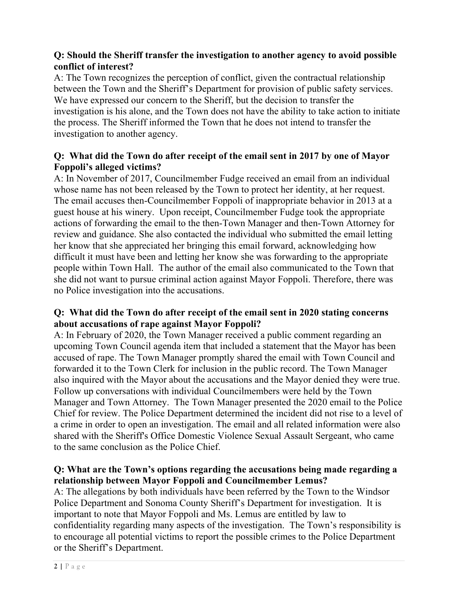## **Q: Should the Sheriff transfer the investigation to another agency to avoid possible conflict of interest?**

A: The Town recognizes the perception of conflict, given the contractual relationship between the Town and the Sheriff's Department for provision of public safety services. We have expressed our concern to the Sheriff, but the decision to transfer the investigation is his alone, and the Town does not have the ability to take action to initiate the process. The Sheriff informed the Town that he does not intend to transfer the investigation to another agency.

#### **Q: What did the Town do after receipt of the email sent in 2017 by one of Mayor Foppoli's alleged victims?**

A: In November of 2017, Councilmember Fudge received an email from an individual whose name has not been released by the Town to protect her identity, at her request. The email accuses then-Councilmember Foppoli of inappropriate behavior in 2013 at a guest house at his winery. Upon receipt, Councilmember Fudge took the appropriate actions of forwarding the email to the then-Town Manager and then-Town Attorney for review and guidance. She also contacted the individual who submitted the email letting her know that she appreciated her bringing this email forward, acknowledging how difficult it must have been and letting her know she was forwarding to the appropriate people within Town Hall. The author of the email also communicated to the Town that she did not want to pursue criminal action against Mayor Foppoli. Therefore, there was no Police investigation into the accusations.

## **Q: What did the Town do after receipt of the email sent in 2020 stating concerns about accusations of rape against Mayor Foppoli?**

A: In February of 2020, the Town Manager received a public comment regarding an upcoming Town Council agenda item that included a statement that the Mayor has been accused of rape. The Town Manager promptly shared the email with Town Council and forwarded it to the Town Clerk for inclusion in the public record. The Town Manager also inquired with the Mayor about the accusations and the Mayor denied they were true. Follow up conversations with individual Councilmembers were held by the Town Manager and Town Attorney. The Town Manager presented the 2020 email to the Police Chief for review. The Police Department determined the incident did not rise to a level of a crime in order to open an investigation. The email and all related information were also shared with the Sheriff's Office Domestic Violence Sexual Assault Sergeant, who came to the same conclusion as the Police Chief.

## **Q: What are the Town's options regarding the accusations being made regarding a relationship between Mayor Foppoli and Councilmember Lemus?**

A: The allegations by both individuals have been referred by the Town to the Windsor Police Department and Sonoma County Sheriff's Department for investigation. It is important to note that Mayor Foppoli and Ms. Lemus are entitled by law to confidentiality regarding many aspects of the investigation. The Town's responsibility is to encourage all potential victims to report the possible crimes to the Police Department or the Sheriff's Department.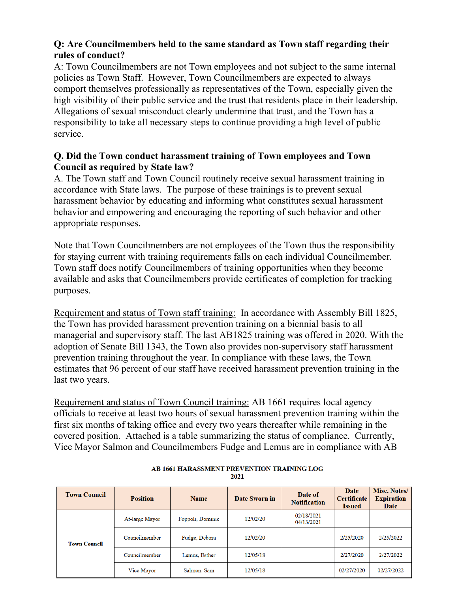## **Q: Are Councilmembers held to the same standard as Town staff regarding their rules of conduct?**

A: Town Councilmembers are not Town employees and not subject to the same internal policies as Town Staff. However, Town Councilmembers are expected to always comport themselves professionally as representatives of the Town, especially given the high visibility of their public service and the trust that residents place in their leadership. Allegations of sexual misconduct clearly undermine that trust, and the Town has a responsibility to take all necessary steps to continue providing a high level of public service.

#### **Q. Did the Town conduct harassment training of Town employees and Town Council as required by State law?**

A. The Town staff and Town Council routinely receive sexual harassment training in accordance with State laws. The purpose of these trainings is to prevent sexual harassment behavior by educating and informing what constitutes sexual harassment behavior and empowering and encouraging the reporting of such behavior and other appropriate responses.

Note that Town Councilmembers are not employees of the Town thus the responsibility for staying current with training requirements falls on each individual Councilmember. Town staff does notify Councilmembers of training opportunities when they become available and asks that Councilmembers provide certificates of completion for tracking purposes.

Requirement and status of Town staff training: In accordance with Assembly Bill 1825, the Town has provided harassment prevention training on a biennial basis to all managerial and supervisory staff. The last AB1825 training was offered in 2020. With the adoption of Senate Bill 1343, the Town also provides non-supervisory staff harassment prevention training throughout the year. In compliance with these laws, the Town estimates that 96 percent of our staff have received harassment prevention training in the last two years.

Requirement and status of Town Council training: AB 1661 requires local agency officials to receive at least two hours of sexual harassment prevention training within the first six months of taking office and every two years thereafter while remaining in the covered position. Attached is a table summarizing the status of compliance. Currently, Vice Mayor Salmon and Councilmembers Fudge and Lemus are in compliance with AB

| <b>Town Council</b> | <b>Position</b> | <b>Name</b>      | Date Sworn in | Date of<br><b>Notification</b> | <b>Date</b><br><b>Certificate</b><br><b>Issued</b> | Misc. Notes/<br><b>Expiration</b><br>Date |
|---------------------|-----------------|------------------|---------------|--------------------------------|----------------------------------------------------|-------------------------------------------|
| <b>Town Council</b> | At-large Mayor  | Foppoli, Dominic | 12/02/20      | 02/18/2021<br>04/13/2021       |                                                    |                                           |
|                     | Councilmember   | Fudge, Debora    | 12/02/20      |                                | 2/25/2020                                          | 2/25/2022                                 |
|                     | Councilmember   | Lemus, Esther    | 12/05/18      |                                | 2/27/2020                                          | 2/27/2022                                 |
|                     | Vice Mayor      | Salmon, Sam      | 12/05/18      |                                | 02/27/2020                                         | 02/27/2022                                |

**AB 1661 HARASSMENT PREVENTION TRAINING LOG** 2021